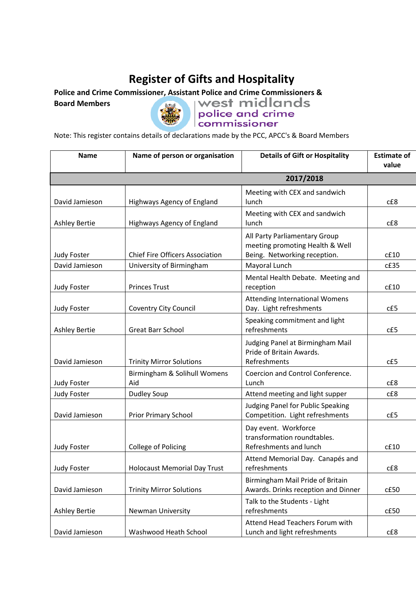## **Register of Gifts and Hospitality**

**Board Members**



Police and Crime Commissioner, Assistant Police and Crime Commissioners & Board Members<br>Board Members **and Crime Commissioner**<br>Commissioner

Note: This register contains details of declarations made by the PCC, APCC's & Board Members

| <b>Name</b>          | Name of person or organisation         | <b>Details of Gift or Hospitality</b>                                                            | <b>Estimate of</b><br>value |  |  |
|----------------------|----------------------------------------|--------------------------------------------------------------------------------------------------|-----------------------------|--|--|
| 2017/2018            |                                        |                                                                                                  |                             |  |  |
| David Jamieson       | Highways Agency of England             | Meeting with CEX and sandwich<br>lunch                                                           | cE8                         |  |  |
| <b>Ashley Bertie</b> | Highways Agency of England             | Meeting with CEX and sandwich<br>lunch                                                           | cE8                         |  |  |
| <b>Judy Foster</b>   | <b>Chief Fire Officers Association</b> | All Party Parliamentary Group<br>meeting promoting Health & Well<br>Being. Networking reception. | cf10                        |  |  |
| David Jamieson       | University of Birmingham               | Mayoral Lunch                                                                                    | c£35                        |  |  |
| Judy Foster          | <b>Princes Trust</b>                   | Mental Health Debate. Meeting and<br>reception                                                   | cf10                        |  |  |
| Judy Foster          | <b>Coventry City Council</b>           | <b>Attending International Womens</b><br>Day. Light refreshments                                 | cE5                         |  |  |
| <b>Ashley Bertie</b> | <b>Great Barr School</b>               | Speaking commitment and light<br>refreshments                                                    | cE5                         |  |  |
| David Jamieson       | <b>Trinity Mirror Solutions</b>        | Judging Panel at Birmingham Mail<br>Pride of Britain Awards.<br>Refreshments                     | cE5                         |  |  |
| Judy Foster          | Birmingham & Solihull Womens<br>Aid    | Coercion and Control Conference.<br>Lunch                                                        | CE8                         |  |  |
| <b>Judy Foster</b>   | <b>Dudley Soup</b>                     | Attend meeting and light supper                                                                  | cE8                         |  |  |
| David Jamieson       | <b>Prior Primary School</b>            | Judging Panel for Public Speaking<br>Competition. Light refreshments                             | cE5                         |  |  |
| <b>Judy Foster</b>   | College of Policing                    | Day event. Workforce<br>transformation roundtables.<br>Refreshments and lunch                    | cf.10                       |  |  |
| Judy Foster          | <b>Holocaust Memorial Day Trust</b>    | Attend Memorial Day. Canapés and<br>refreshments                                                 | cE8                         |  |  |
| David Jamieson       | <b>Trinity Mirror Solutions</b>        | Birmingham Mail Pride of Britain<br>Awards. Drinks reception and Dinner                          | cE50                        |  |  |
| <b>Ashley Bertie</b> | <b>Newman University</b>               | Talk to the Students - Light<br>refreshments                                                     | cE50                        |  |  |
| David Jamieson       | Washwood Heath School                  | Attend Head Teachers Forum with<br>Lunch and light refreshments                                  | cE8                         |  |  |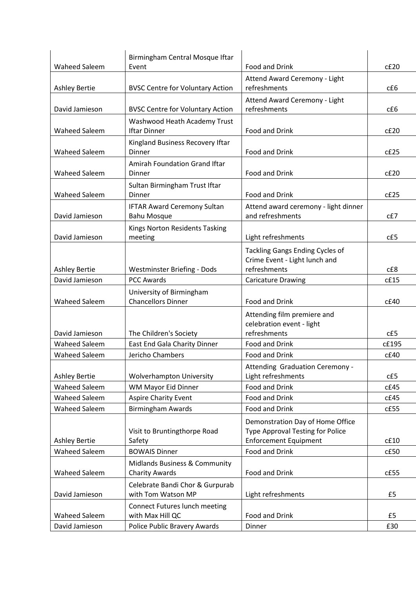|                                              | Birmingham Central Mosque Iftar                          |                                                                                                      |              |
|----------------------------------------------|----------------------------------------------------------|------------------------------------------------------------------------------------------------------|--------------|
| <b>Waheed Saleem</b>                         | Event                                                    | Food and Drink                                                                                       | cE20         |
| <b>Ashley Bertie</b>                         | <b>BVSC Centre for Voluntary Action</b>                  | Attend Award Ceremony - Light<br>refreshments                                                        | cE6          |
| David Jamieson                               | <b>BVSC Centre for Voluntary Action</b>                  | Attend Award Ceremony - Light<br>refreshments                                                        | cE6          |
| <b>Waheed Saleem</b>                         | Washwood Heath Academy Trust<br><b>Iftar Dinner</b>      | Food and Drink                                                                                       | cE20         |
| <b>Waheed Saleem</b>                         | Kingland Business Recovery Iftar<br>Dinner               | Food and Drink                                                                                       | cE25         |
| <b>Waheed Saleem</b>                         | Amirah Foundation Grand Iftar<br>Dinner                  | Food and Drink                                                                                       | cE20         |
| <b>Waheed Saleem</b>                         | Sultan Birmingham Trust Iftar<br>Dinner                  | Food and Drink                                                                                       | cE25         |
| David Jamieson                               | <b>IFTAR Award Ceremony Sultan</b><br><b>Bahu Mosque</b> | Attend award ceremony - light dinner<br>and refreshments                                             | $cE$ 7       |
| David Jamieson                               | Kings Norton Residents Tasking<br>meeting                | Light refreshments                                                                                   | cE5          |
| <b>Ashley Bertie</b>                         | Westminster Briefing - Dods                              | Tackling Gangs Ending Cycles of<br>Crime Event - Light lunch and<br>refreshments                     | CE8          |
| David Jamieson                               | <b>PCC Awards</b>                                        | <b>Caricature Drawing</b>                                                                            | cf15         |
| <b>Waheed Saleem</b>                         | University of Birmingham<br><b>Chancellors Dinner</b>    | Food and Drink                                                                                       | cf.40        |
| David Jamieson                               | The Children's Society                                   | Attending film premiere and<br>celebration event - light<br>refreshments                             | cE5          |
| <b>Waheed Saleem</b>                         | East End Gala Charity Dinner                             | Food and Drink                                                                                       | c£195        |
| <b>Waheed Saleem</b>                         | Jericho Chambers                                         | Food and Drink                                                                                       | cE40         |
|                                              |                                                          | Attending Graduation Ceremony -                                                                      |              |
| <b>Ashley Bertie</b>                         | <b>Wolverhampton University</b>                          | Light refreshments                                                                                   | cE5          |
| Waheed Saleem                                | WM Mayor Eid Dinner                                      | Food and Drink                                                                                       | cf.45        |
| <b>Waheed Saleem</b><br><b>Waheed Saleem</b> | <b>Aspire Charity Event</b><br><b>Birmingham Awards</b>  | Food and Drink<br>Food and Drink                                                                     | cE45<br>cE55 |
| <b>Ashley Bertie</b>                         | Visit to Bruntingthorpe Road<br>Safety                   | Demonstration Day of Home Office<br>Type Approval Testing for Police<br><b>Enforcement Equipment</b> | cf10         |
| <b>Waheed Saleem</b>                         | <b>BOWAIS Dinner</b>                                     | Food and Drink                                                                                       | cE50         |
| <b>Waheed Saleem</b>                         | Midlands Business & Community<br><b>Charity Awards</b>   | Food and Drink                                                                                       | cE55         |
| David Jamieson                               | Celebrate Bandi Chor & Gurpurab<br>with Tom Watson MP    | Light refreshments                                                                                   | £5           |
| <b>Waheed Saleem</b>                         | Connect Futures lunch meeting<br>with Max Hill QC        | Food and Drink                                                                                       | £5           |
| David Jamieson                               | Police Public Bravery Awards                             | Dinner                                                                                               | £30          |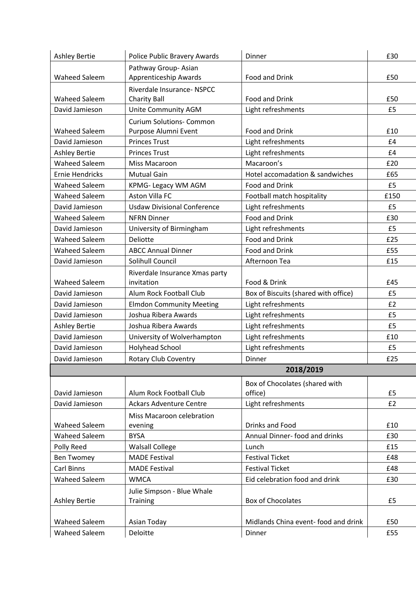| <b>Ashley Bertie</b> | Police Public Bravery Awards       | Dinner                               | £30  |  |  |
|----------------------|------------------------------------|--------------------------------------|------|--|--|
|                      | Pathway Group-Asian                |                                      |      |  |  |
| <b>Waheed Saleem</b> | <b>Apprenticeship Awards</b>       | Food and Drink                       | £50  |  |  |
|                      | Riverdale Insurance- NSPCC         |                                      |      |  |  |
| <b>Waheed Saleem</b> | <b>Charity Ball</b>                | Food and Drink                       | £50  |  |  |
| David Jamieson       | Unite Community AGM                | Light refreshments                   | £5   |  |  |
|                      | <b>Curium Solutions- Common</b>    |                                      |      |  |  |
| <b>Waheed Saleem</b> | Purpose Alumni Event               | Food and Drink                       | £10  |  |  |
| David Jamieson       | <b>Princes Trust</b>               | Light refreshments                   | £4   |  |  |
| <b>Ashley Bertie</b> | <b>Princes Trust</b>               | Light refreshments                   | £4   |  |  |
| <b>Waheed Saleem</b> | Miss Macaroon                      | Macaroon's                           | £20  |  |  |
| Ernie Hendricks      | <b>Mutual Gain</b>                 | Hotel accomadation & sandwiches      | £65  |  |  |
| <b>Waheed Saleem</b> | KPMG- Legacy WM AGM                | Food and Drink                       | £5   |  |  |
| <b>Waheed Saleem</b> | <b>Aston Villa FC</b>              | Football match hospitality           | £150 |  |  |
| David Jamieson       | <b>Usdaw Divisional Conference</b> | Light refreshments                   | £5   |  |  |
| <b>Waheed Saleem</b> | <b>NFRN Dinner</b>                 | Food and Drink                       | £30  |  |  |
| David Jamieson       | University of Birmingham           | Light refreshments                   | £5   |  |  |
| <b>Waheed Saleem</b> | Deliotte                           | Food and Drink                       | £25  |  |  |
| <b>Waheed Saleem</b> | <b>ABCC Annual Dinner</b>          | Food and Drink                       | £55  |  |  |
| David Jamieson       | Solihull Council                   | Afternoon Tea                        | £15  |  |  |
|                      | Riverdale Insurance Xmas party     |                                      |      |  |  |
| <b>Waheed Saleem</b> | invitation                         | Food & Drink                         | £45  |  |  |
| David Jamieson       | Alum Rock Football Club            | Box of Biscuits (shared with office) | £5   |  |  |
| David Jamieson       | <b>Elmdon Community Meeting</b>    | Light refreshments                   | £2   |  |  |
| David Jamieson       | Joshua Ribera Awards               | Light refreshments                   | £5   |  |  |
| <b>Ashley Bertie</b> | Joshua Ribera Awards               | Light refreshments                   | £5   |  |  |
| David Jamieson       | University of Wolverhampton        | Light refreshments                   | £10  |  |  |
| David Jamieson       | Holyhead School                    | Light refreshments                   | £5   |  |  |
| David Jamieson       | <b>Rotary Club Coventry</b>        | Dinner                               | £25  |  |  |
| 2018/2019            |                                    |                                      |      |  |  |
|                      |                                    | Box of Chocolates (shared with       |      |  |  |
| David Jamieson       | Alum Rock Football Club            | office)                              | £5   |  |  |
| David Jamieson       | <b>Ackars Adventure Centre</b>     | Light refreshments                   | £2   |  |  |
|                      | Miss Macaroon celebration          |                                      |      |  |  |
| <b>Waheed Saleem</b> | evening                            | Drinks and Food                      | £10  |  |  |
| <b>Waheed Saleem</b> | <b>BYSA</b>                        | Annual Dinner- food and drinks       | £30  |  |  |
| Polly Reed           | <b>Walsall College</b>             | Lunch                                | £15  |  |  |
| <b>Ben Twomey</b>    | <b>MADE Festival</b>               | <b>Festival Ticket</b>               | £48  |  |  |
| Carl Binns           | <b>MADE Festival</b>               | <b>Festival Ticket</b>               | £48  |  |  |
| <b>Waheed Saleem</b> | <b>WMCA</b>                        | Eid celebration food and drink       | £30  |  |  |
|                      | Julie Simpson - Blue Whale         |                                      |      |  |  |
| <b>Ashley Bertie</b> | Training                           | <b>Box of Chocolates</b>             | £5   |  |  |
|                      |                                    |                                      |      |  |  |
| <b>Waheed Saleem</b> | Asian Today                        | Midlands China event- food and drink | £50  |  |  |
| <b>Waheed Saleem</b> | Deloitte                           | Dinner                               | £55  |  |  |
|                      |                                    |                                      |      |  |  |